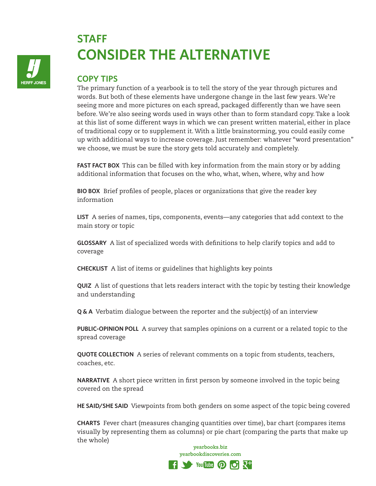

## **STAFF CONSIDER THE ALTERNATIVE**

## **COPY TIPS**

The primary function of a yearbook is to tell the story of the year through pictures and words. But both of these elements have undergone change in the last few years. We're seeing more and more pictures on each spread, packaged differently than we have seen before. We're also seeing words used in ways other than to form standard copy. Take a look at this list of some different ways in which we can present written material, either in place of traditional copy or to supplement it. With a little brainstorming, you could easily come up with additional ways to increase coverage. Just remember: whatever "word presentation" we choose, we must be sure the story gets told accurately and completely.

**FAST FACT BOX** This can be filled with key information from the main story or by adding additional information that focuses on the who, what, when, where, why and how

**BIO BOX** Brief profiles of people, places or organizations that give the reader key information

**LIST** A series of names, tips, components, events—any categories that add context to the main story or topic

**GLOSSARY** A list of specialized words with definitions to help clarify topics and add to coverage

**CHECKLIST** A list of items or guidelines that highlights key points

**QUIZ** A list of questions that lets readers interact with the topic by testing their knowledge and understanding

**Q & A** Verbatim dialogue between the reporter and the subject(s) of an interview

**PUBLIC-OPINION POLL** A survey that samples opinions on a current or a related topic to the spread coverage

**QUOTE COLLECTION** A series of relevant comments on a topic from students, teachers, coaches, etc.

**NARRATIVE** A short piece written in first person by someone involved in the topic being covered on the spread

**HE SAID/SHE SAID** Viewpoints from both genders on some aspect of the topic being covered

**CHARTS** Fever chart (measures changing quantities over time), bar chart (compares items visually by representing them as columns) or pie chart (comparing the parts that make up the whole)